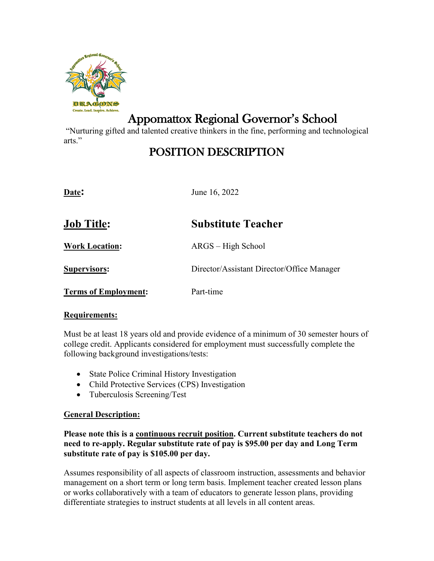

# Appomattox Regional Governor's School

"Nurturing gifted and talented creative thinkers in the fine, performing and technological arts."

## POSITION DESCRIPTION

| Date:                       | June 16, 2022                              |
|-----------------------------|--------------------------------------------|
| <b>Job Title:</b>           | <b>Substitute Teacher</b>                  |
| <b>Work Location:</b>       | ARGS – High School                         |
| <b>Supervisors:</b>         | Director/Assistant Director/Office Manager |
| <b>Terms of Employment:</b> | Part-time                                  |

### **Requirements:**

Must be at least 18 years old and provide evidence of a minimum of 30 semester hours of college credit. Applicants considered for employment must successfully complete the following background investigations/tests:

- State Police Criminal History Investigation
- Child Protective Services (CPS) Investigation
- Tuberculosis Screening/Test

### **General Description:**

**Please note this is a continuous recruit position. Current substitute teachers do not need to re-apply. Regular substitute rate of pay is \$95.00 per day and Long Term substitute rate of pay is \$105.00 per day.**

Assumes responsibility of all aspects of classroom instruction, assessments and behavior management on a short term or long term basis. Implement teacher created lesson plans or works collaboratively with a team of educators to generate lesson plans, providing differentiate strategies to instruct students at all levels in all content areas.